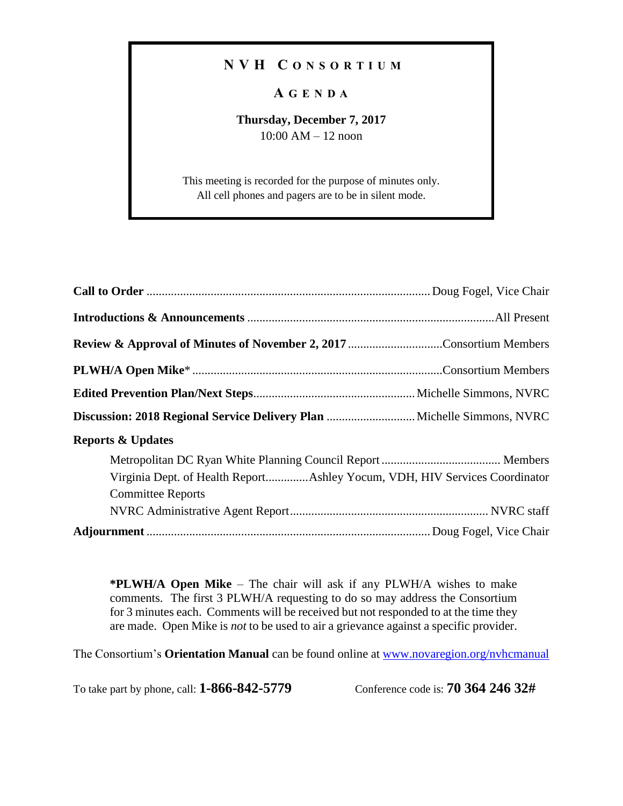## **N V H C O N S O R T I U M**

## **A G E N D A**

## **Thursday, December 7, 2017** 10:00 AM – 12 noon

This meeting is recorded for the purpose of minutes only. All cell phones and pagers are to be in silent mode.

**\*PLWH/A Open Mike** – The chair will ask if any PLWH/A wishes to make comments. The first 3 PLWH/A requesting to do so may address the Consortium for 3 minutes each. Comments will be received but not responded to at the time they are made. Open Mike is *not* to be used to air a grievance against a specific provider.

The Consortium's **Orientation Manual** can be found online at [www.novaregion.org/nvhcmanual](http://www.novaregion.org/nvhcmanual)

To take part by phone, call: **1-866-842-5779** Conference code is: **70 364 246 32#**